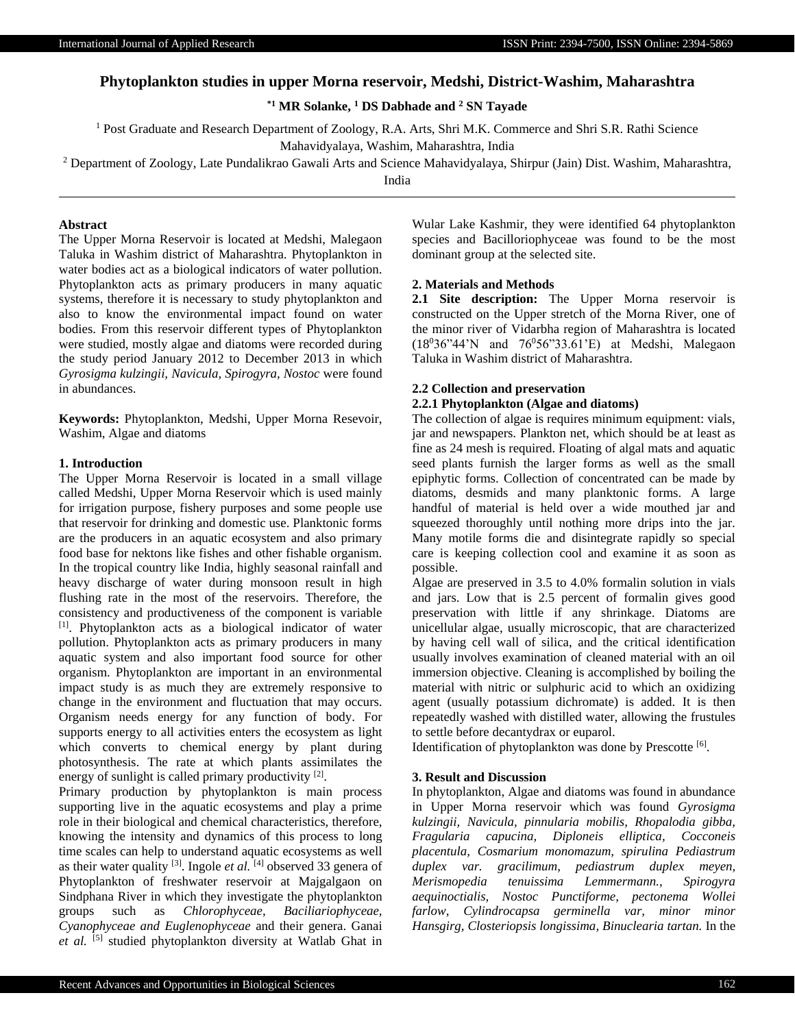# **Phytoplankton studies in upper Morna reservoir, Medshi, District-Washim, Maharashtra**

**\*1 MR Solanke, <sup>1</sup> DS Dabhade and <sup>2</sup> SN Tayade**

<sup>1</sup> Post Graduate and Research Department of Zoology, R.A. Arts, Shri M.K. Commerce and Shri S.R. Rathi Science Mahavidyalaya, Washim, Maharashtra, India

<sup>2</sup> Department of Zoology, Late Pundalikrao Gawali Arts and Science Mahavidyalaya, Shirpur (Jain) Dist. Washim, Maharashtra,

India

#### **Abstract**

The Upper Morna Reservoir is located at Medshi, Malegaon Taluka in Washim district of Maharashtra. Phytoplankton in water bodies act as a biological indicators of water pollution. Phytoplankton acts as primary producers in many aquatic systems, therefore it is necessary to study phytoplankton and also to know the environmental impact found on water bodies. From this reservoir different types of Phytoplankton were studied, mostly algae and diatoms were recorded during the study period January 2012 to December 2013 in which *Gyrosigma kulzingii, Navicula, Spirogyra, Nostoc* were found in abundances.

**Keywords:** Phytoplankton, Medshi, Upper Morna Resevoir, Washim, Algae and diatoms

## **1. Introduction**

The Upper Morna Reservoir is located in a small village called Medshi, Upper Morna Reservoir which is used mainly for irrigation purpose, fishery purposes and some people use that reservoir for drinking and domestic use. Planktonic forms are the producers in an aquatic ecosystem and also primary food base for nektons like fishes and other fishable organism. In the tropical country like India, highly seasonal rainfall and heavy discharge of water during monsoon result in high flushing rate in the most of the reservoirs. Therefore, the consistency and productiveness of the component is variable [1]. Phytoplankton acts as a biological indicator of water pollution. Phytoplankton acts as primary producers in many aquatic system and also important food source for other organism. Phytoplankton are important in an environmental impact study is as much they are extremely responsive to change in the environment and fluctuation that may occurs. Organism needs energy for any function of body. For supports energy to all activities enters the ecosystem as light which converts to chemical energy by plant during photosynthesis. The rate at which plants assimilates the energy of sunlight is called primary productivity [2].

Primary production by phytoplankton is main process supporting live in the aquatic ecosystems and play a prime role in their biological and chemical characteristics, therefore, knowing the intensity and dynamics of this process to long time scales can help to understand aquatic ecosystems as well as their water quality  $^{[3]}$ . Ingole *et al.*  $^{[4]}$  observed 33 genera of Phytoplankton of freshwater reservoir at Majgalgaon on Sindphana River in which they investigate the phytoplankton groups such as *Chlorophyceae, Baciliariophyceae, Cyanophyceae and Euglenophyceae* and their genera. Ganai *et al.* [5] studied phytoplankton diversity at Watlab Ghat in Wular Lake Kashmir, they were identified 64 phytoplankton species and Bacilloriophyceae was found to be the most dominant group at the selected site.

## **2. Materials and Methods**

**2.1 Site description:** The Upper Morna reservoir is constructed on the Upper stretch of the Morna River, one of the minor river of Vidarbha region of Maharashtra is located  $(18^036^044^1)$  and  $76^056^033.61^1$  E) at Medshi, Malegaon Taluka in Washim district of Maharashtra.

### **2.2 Collection and preservation**

### **2.2.1 Phytoplankton (Algae and diatoms)**

The collection of algae is requires minimum equipment: vials, jar and newspapers. Plankton net, which should be at least as fine as 24 mesh is required. Floating of algal mats and aquatic seed plants furnish the larger forms as well as the small epiphytic forms. Collection of concentrated can be made by diatoms, desmids and many planktonic forms. A large handful of material is held over a wide mouthed jar and squeezed thoroughly until nothing more drips into the jar. Many motile forms die and disintegrate rapidly so special care is keeping collection cool and examine it as soon as possible.

Algae are preserved in 3.5 to 4.0% formalin solution in vials and jars. Low that is 2.5 percent of formalin gives good preservation with little if any shrinkage. Diatoms are unicellular algae, usually microscopic, that are characterized by having cell wall of silica, and the critical identification usually involves examination of cleaned material with an oil immersion objective. Cleaning is accomplished by boiling the material with nitric or sulphuric acid to which an oxidizing agent (usually potassium dichromate) is added. It is then repeatedly washed with distilled water, allowing the frustules to settle before decantydrax or euparol.

Identification of phytoplankton was done by Prescotte<sup>[6]</sup>.

#### **3. Result and Discussion**

In phytoplankton, Algae and diatoms was found in abundance in Upper Morna reservoir which was found *Gyrosigma kulzingii, Navicula, pinnularia mobilis, Rhopalodia gibba, Fragularia capucina, Diploneis elliptica, Cocconeis placentula, Cosmarium monomazum, spirulina Pediastrum duplex var. gracilimum, pediastrum duplex meyen, Merismopedia tenuissima Lemmermann., Spirogyra aequinoctialis, Nostoc Punctiforme, pectonema Wollei farlow, Cylindrocapsa germinella var, minor minor Hansgirg, Closteriopsis longissima, Binuclearia tartan.* In the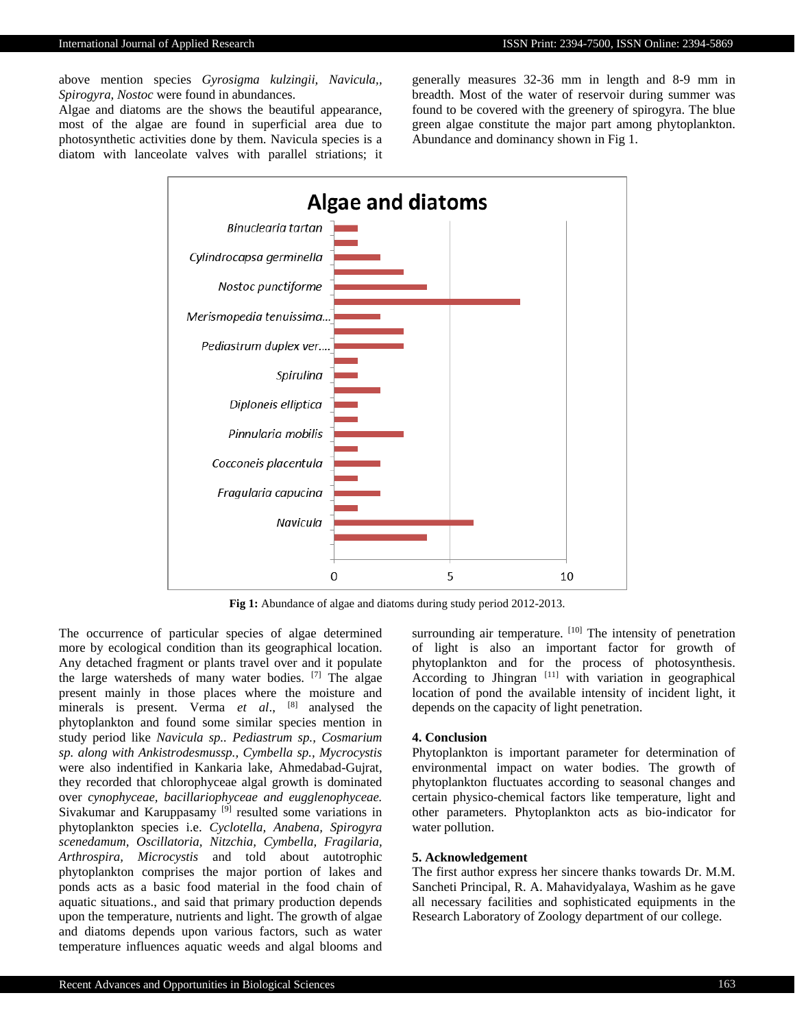above mention species *Gyrosigma kulzingii, Navicula,, Spirogyra, Nostoc* were found in abundances.

Algae and diatoms are the shows the beautiful appearance, most of the algae are found in superficial area due to photosynthetic activities done by them. Navicula species is a diatom with lanceolate valves with parallel striations; it generally measures 32-36 mm in length and 8-9 mm in breadth. Most of the water of reservoir during summer was found to be covered with the greenery of spirogyra. The blue green algae constitute the major part among phytoplankton. Abundance and dominancy shown in Fig 1.



**Fig 1:** Abundance of algae and diatoms during study period 2012-2013.

The occurrence of particular species of algae determined more by ecological condition than its geographical location. Any detached fragment or plants travel over and it populate the large watersheds of many water bodies. [7] The algae present mainly in those places where the moisture and minerals is present. Verma *et al*., [8] analysed the phytoplankton and found some similar species mention in study period like *Navicula sp.. Pediastrum sp., Cosmarium sp. along with Ankistrodesmussp., Cymbella sp., Mycrocystis* were also indentified in Kankaria lake, Ahmedabad-Gujrat, they recorded that chlorophyceae algal growth is dominated over *cynophyceae, bacillariophyceae and eugglenophyceae.*  Sivakumar and Karuppasamy [9] resulted some variations in phytoplankton species i.e. *Cyclotella, Anabena, Spirogyra scenedamum, Oscillatoria, Nitzchia, Cymbella, Fragilaria, Arthrospira, Microcystis* and told about autotrophic phytoplankton comprises the major portion of lakes and ponds acts as a basic food material in the food chain of aquatic situations., and said that primary production depends upon the temperature, nutrients and light. The growth of algae and diatoms depends upon various factors, such as water temperature influences aquatic weeds and algal blooms and surrounding air temperature. [10] The intensity of penetration of light is also an important factor for growth of phytoplankton and for the process of photosynthesis. According to Jhingran  $\left[11\right]$  with variation in geographical location of pond the available intensity of incident light, it depends on the capacity of light penetration.

### **4. Conclusion**

Phytoplankton is important parameter for determination of environmental impact on water bodies. The growth of phytoplankton fluctuates according to seasonal changes and certain physico-chemical factors like temperature, light and other parameters. Phytoplankton acts as bio-indicator for water pollution.

## **5. Acknowledgement**

The first author express her sincere thanks towards Dr. M.M. Sancheti Principal, R. A. Mahavidyalaya, Washim as he gave all necessary facilities and sophisticated equipments in the Research Laboratory of Zoology department of our college.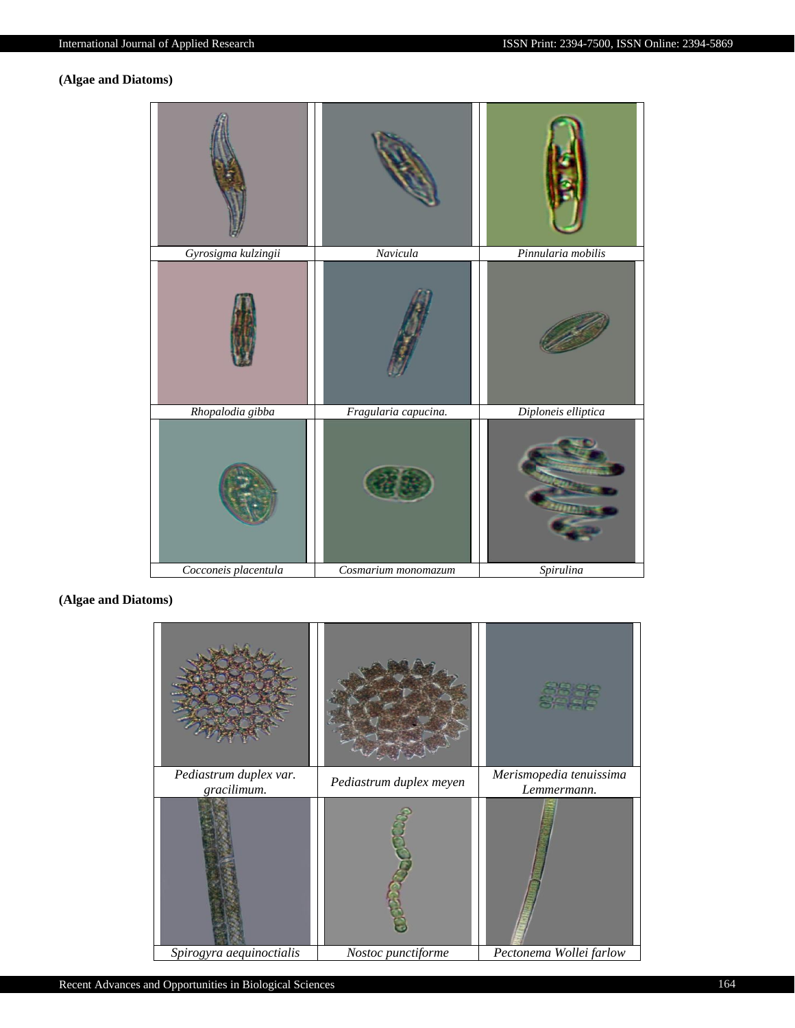# **(Algae and Diatoms)**



**(Algae and Diatoms)**